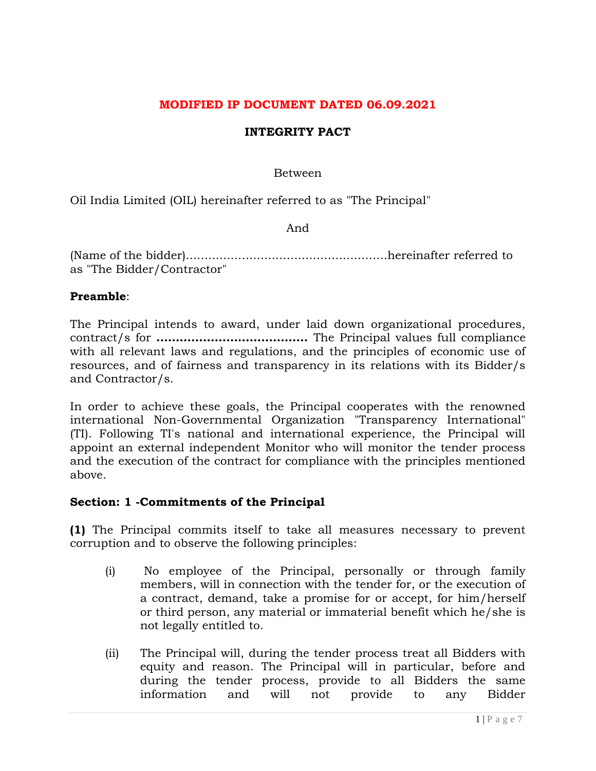### **MODIFIED IP DOCUMENT DATED 06.09.2021**

#### **INTEGRITY PACT**

Between

Oil India Limited (OIL) hereinafter referred to as "The Principal"

And

(Name of the bidder)......................................................hereinafter referred to as "The Bidder/Contractor"

#### **Preamble**:

The Principal intends to award, under laid down organizational procedures, contract/s for **…………………………………** The Principal values full compliance with all relevant laws and regulations, and the principles of economic use of resources, and of fairness and transparency in its relations with its Bidder/s and Contractor/s.

In order to achieve these goals, the Principal cooperates with the renowned international Non-Governmental Organization "Transparency International" (TI). Following TI's national and international experience, the Principal will appoint an external independent Monitor who will monitor the tender process and the execution of the contract for compliance with the principles mentioned above.

#### **Section: 1 -Commitments of the Principal**

**(1)** The Principal commits itself to take all measures necessary to prevent corruption and to observe the following principles:

- (i) No employee of the Principal, personally or through family members, will in connection with the tender for, or the execution of a contract, demand, take a promise for or accept, for him/herself or third person, any material or immaterial benefit which he/she is not legally entitled to.
- (ii) The Principal will, during the tender process treat all Bidders with equity and reason. The Principal will in particular, before and during the tender process, provide to all Bidders the same information and will not provide to any Bidder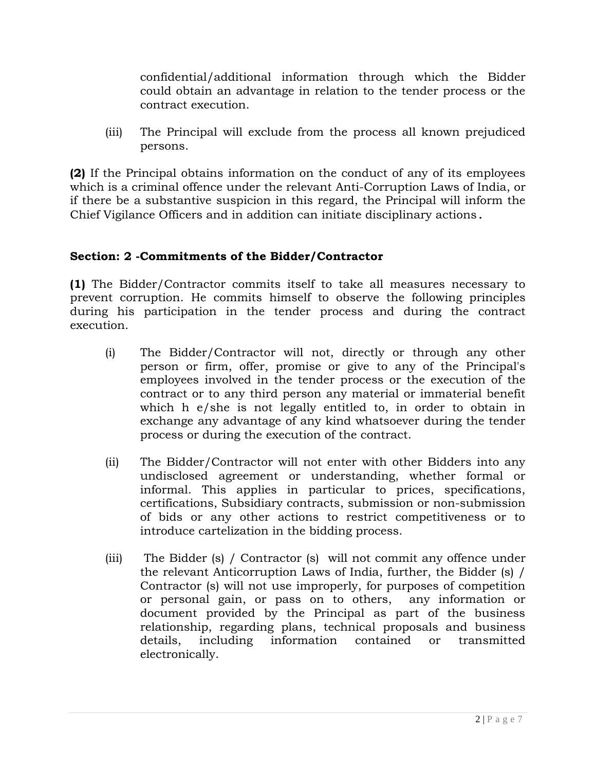confidential/additional information through which the Bidder could obtain an advantage in relation to the tender process or the contract execution.

(iii) The Principal will exclude from the process all known prejudiced persons.

**(2)** If the Principal obtains information on the conduct of any of its employees which is a criminal offence under the relevant Anti-Corruption Laws of India, or if there be a substantive suspicion in this regard, the Principal will inform the Chief Vigilance Officers and in addition can initiate disciplinary actions.

# **Section: 2 -Commitments of the Bidder/Contractor**

**(1)** The Bidder/Contractor commits itself to take all measures necessary to prevent corruption. He commits himself to observe the following principles during his participation in the tender process and during the contract execution.

- (i) The Bidder/Contractor will not, directly or through any other person or firm, offer, promise or give to any of the Principal's employees involved in the tender process or the execution of the contract or to any third person any material or immaterial benefit which h e/she is not legally entitled to, in order to obtain in exchange any advantage of any kind whatsoever during the tender process or during the execution of the contract.
- (ii) The Bidder/Contractor will not enter with other Bidders into any undisclosed agreement or understanding, whether formal or informal. This applies in particular to prices, specifications, certifications, Subsidiary contracts, submission or non-submission of bids or any other actions to restrict competitiveness or to introduce cartelization in the bidding process.
- (iii) The Bidder (s) / Contractor (s) will not commit any offence under the relevant Anticorruption Laws of India, further, the Bidder (s) / Contractor (s) will not use improperly, for purposes of competition or personal gain, or pass on to others, any information or document provided by the Principal as part of the business relationship, regarding plans, technical proposals and business details, including information contained or transmitted electronically.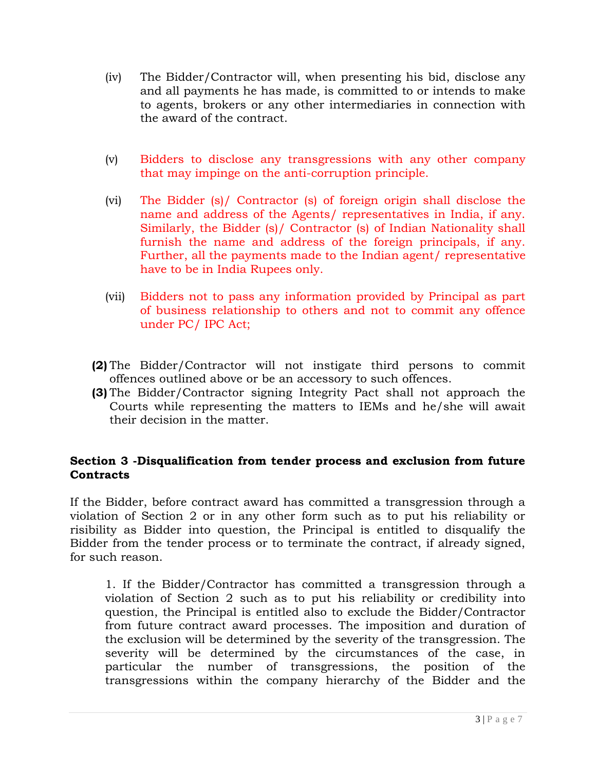- (iv) The Bidder/Contractor will, when presenting his bid, disclose any and all payments he has made, is committed to or intends to make to agents, brokers or any other intermediaries in connection with the award of the contract.
- (v) Bidders to disclose any transgressions with any other company that may impinge on the anti-corruption principle.
- (vi) The Bidder (s)/ Contractor (s) of foreign origin shall disclose the name and address of the Agents/ representatives in India, if any. Similarly, the Bidder (s)/ Contractor (s) of Indian Nationality shall furnish the name and address of the foreign principals, if any. Further, all the payments made to the Indian agent/ representative have to be in India Rupees only.
- (vii) Bidders not to pass any information provided by Principal as part of business relationship to others and not to commit any offence under PC/ IPC Act;
- **(2)** The Bidder/Contractor will not instigate third persons to commit offences outlined above or be an accessory to such offences.
- **(3)** The Bidder/Contractor signing Integrity Pact shall not approach the Courts while representing the matters to IEMs and he/she will await their decision in the matter.

### **Section 3 -Disqualification from tender process and exclusion from future Contracts**

If the Bidder, before contract award has committed a transgression through a violation of Section 2 or in any other form such as to put his reliability or risibility as Bidder into question, the Principal is entitled to disqualify the Bidder from the tender process or to terminate the contract, if already signed, for such reason.

1. If the Bidder/Contractor has committed a transgression through a violation of Section 2 such as to put his reliability or credibility into question, the Principal is entitled also to exclude the Bidder/Contractor from future contract award processes. The imposition and duration of the exclusion will be determined by the severity of the transgression. The severity will be determined by the circumstances of the case, in particular the number of transgressions, the position of the transgressions within the company hierarchy of the Bidder and the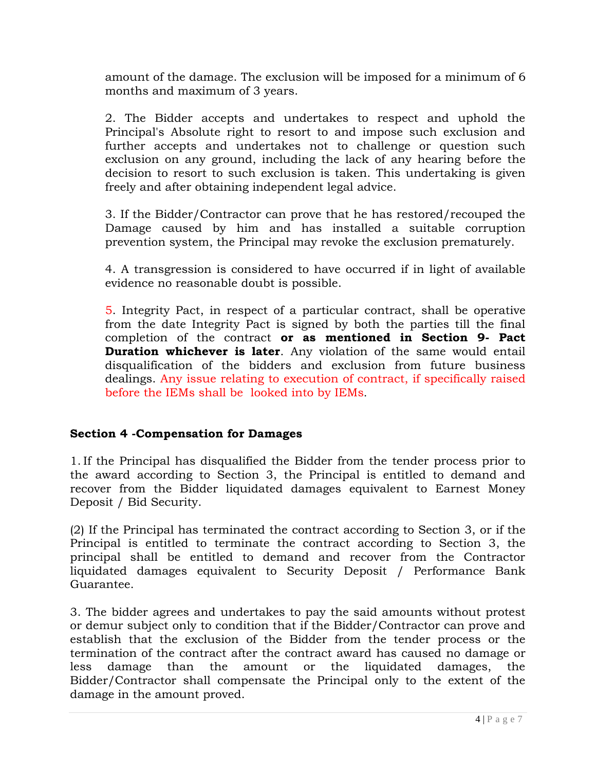amount of the damage. The exclusion will be imposed for a minimum of 6 months and maximum of 3 years.

2. The Bidder accepts and undertakes to respect and uphold the Principal's Absolute right to resort to and impose such exclusion and further accepts and undertakes not to challenge or question such exclusion on any ground, including the lack of any hearing before the decision to resort to such exclusion is taken. This undertaking is given freely and after obtaining independent legal advice.

3. If the Bidder/Contractor can prove that he has restored/recouped the Damage caused by him and has installed a suitable corruption prevention system, the Principal may revoke the exclusion prematurely.

4. A transgression is considered to have occurred if in light of available evidence no reasonable doubt is possible.

5. Integrity Pact, in respect of a particular contract, shall be operative from the date Integrity Pact is signed by both the parties till the final completion of the contract **or as mentioned in Section 9- Pact Duration whichever is later**. Any violation of the same would entail disqualification of the bidders and exclusion from future business dealings. Any issue relating to execution of contract, if specifically raised before the IEMs shall be looked into by IEMs.

# **Section 4 -Compensation for Damages**

1. If the Principal has disqualified the Bidder from the tender process prior to the award according to Section 3, the Principal is entitled to demand and recover from the Bidder liquidated damages equivalent to Earnest Money Deposit / Bid Security.

(2) If the Principal has terminated the contract according to Section 3, or if the Principal is entitled to terminate the contract according to Section 3, the principal shall be entitled to demand and recover from the Contractor liquidated damages equivalent to Security Deposit / Performance Bank Guarantee.

3. The bidder agrees and undertakes to pay the said amounts without protest or demur subject only to condition that if the Bidder/Contractor can prove and establish that the exclusion of the Bidder from the tender process or the termination of the contract after the contract award has caused no damage or less damage than the amount or the liquidated damages, the Bidder/Contractor shall compensate the Principal only to the extent of the damage in the amount proved.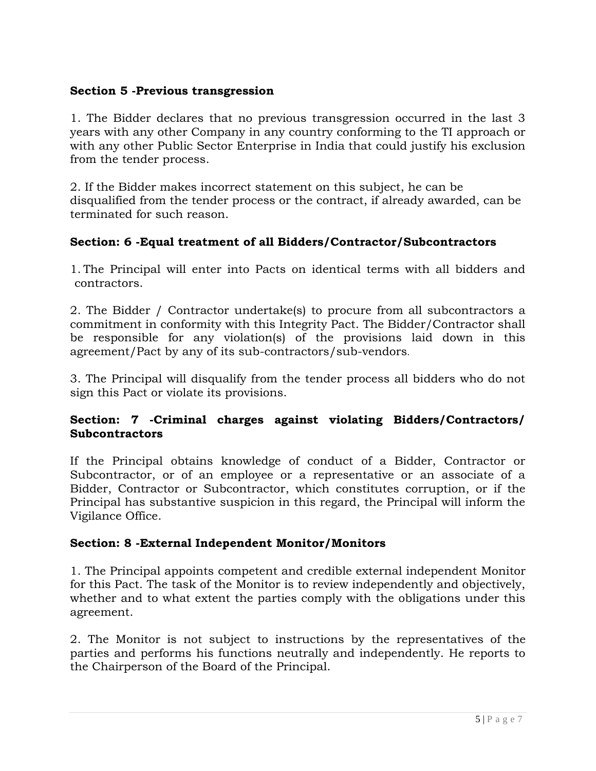## **Section 5 -Previous transgression**

1. The Bidder declares that no previous transgression occurred in the last 3 years with any other Company in any country conforming to the TI approach or with any other Public Sector Enterprise in India that could justify his exclusion from the tender process.

2. If the Bidder makes incorrect statement on this subject, he can be disqualified from the tender process or the contract, if already awarded, can be terminated for such reason.

### **Section: 6 -Equal treatment of all Bidders/Contractor/Subcontractors**

1. The Principal will enter into Pacts on identical terms with all bidders and contractors.

2. The Bidder / Contractor undertake(s) to procure from all subcontractors a commitment in conformity with this Integrity Pact. The Bidder/Contractor shall be responsible for any violation(s) of the provisions laid down in this agreement/Pact by any of its sub-contractors/sub-vendors.

3. The Principal will disqualify from the tender process all bidders who do not sign this Pact or violate its provisions.

### **Section: 7 -Criminal charges against violating Bidders/Contractors/ Subcontractors**

If the Principal obtains knowledge of conduct of a Bidder, Contractor or Subcontractor, or of an employee or a representative or an associate of a Bidder, Contractor or Subcontractor, which constitutes corruption, or if the Principal has substantive suspicion in this regard, the Principal will inform the Vigilance Office.

# **Section: 8 -External Independent Monitor/Monitors**

1. The Principal appoints competent and credible external independent Monitor for this Pact. The task of the Monitor is to review independently and objectively, whether and to what extent the parties comply with the obligations under this agreement.

2. The Monitor is not subject to instructions by the representatives of the parties and performs his functions neutrally and independently. He reports to the Chairperson of the Board of the Principal.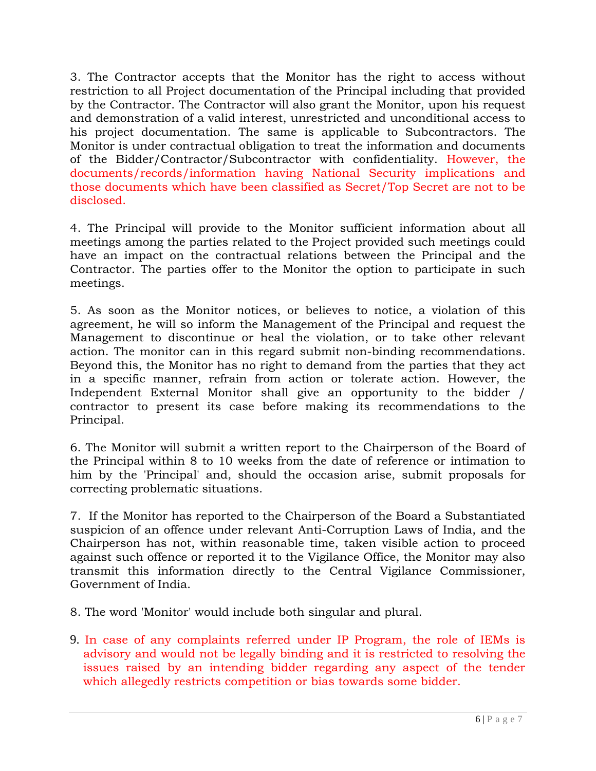3. The Contractor accepts that the Monitor has the right to access without restriction to all Project documentation of the Principal including that provided by the Contractor. The Contractor will also grant the Monitor, upon his request and demonstration of a valid interest, unrestricted and unconditional access to his project documentation. The same is applicable to Subcontractors. The Monitor is under contractual obligation to treat the information and documents of the Bidder/Contractor/Subcontractor with confidentiality. However, the documents/records/information having National Security implications and those documents which have been classified as Secret/Top Secret are not to be disclosed.

4. The Principal will provide to the Monitor sufficient information about all meetings among the parties related to the Project provided such meetings could have an impact on the contractual relations between the Principal and the Contractor. The parties offer to the Monitor the option to participate in such meetings.

5. As soon as the Monitor notices, or believes to notice, a violation of this agreement, he will so inform the Management of the Principal and request the Management to discontinue or heal the violation, or to take other relevant action. The monitor can in this regard submit non-binding recommendations. Beyond this, the Monitor has no right to demand from the parties that they act in a specific manner, refrain from action or tolerate action. However, the Independent External Monitor shall give an opportunity to the bidder / contractor to present its case before making its recommendations to the Principal.

6. The Monitor will submit a written report to the Chairperson of the Board of the Principal within 8 to 10 weeks from the date of reference or intimation to him by the 'Principal' and, should the occasion arise, submit proposals for correcting problematic situations.

7. If the Monitor has reported to the Chairperson of the Board a Substantiated suspicion of an offence under relevant Anti-Corruption Laws of India, and the Chairperson has not, within reasonable time, taken visible action to proceed against such offence or reported it to the Vigilance Office, the Monitor may also transmit this information directly to the Central Vigilance Commissioner, Government of India.

8. The word 'Monitor' would include both singular and plural.

9. In case of any complaints referred under IP Program, the role of IEMs is advisory and would not be legally binding and it is restricted to resolving the issues raised by an intending bidder regarding any aspect of the tender which allegedly restricts competition or bias towards some bidder.